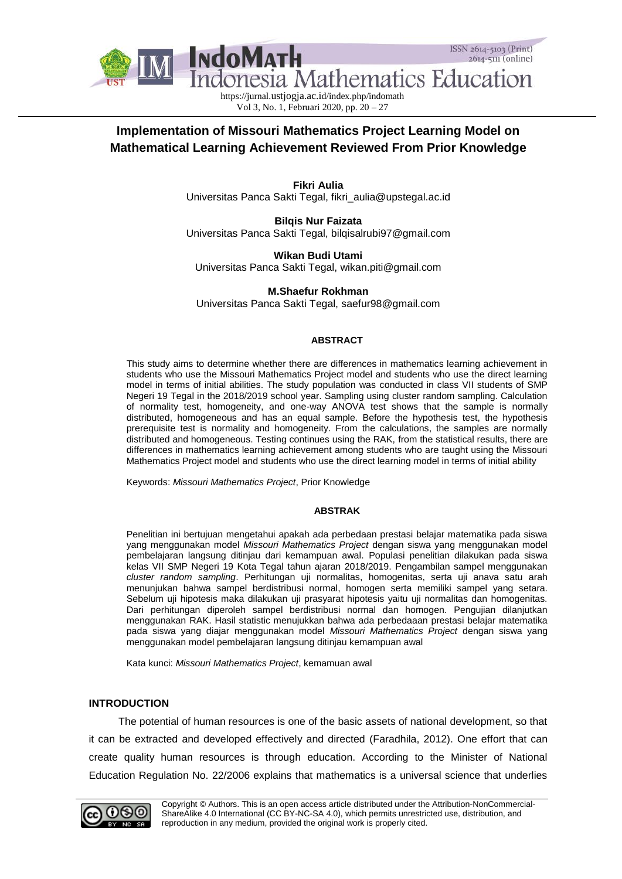

https://jurnal.ustjogja.ac.id/index.php/indomath Vol 3, No. 1, Februari 2020, pp. 20 – 27

# **Implementation of Missouri Mathematics Project Learning Model on Mathematical Learning Achievement Reviewed From Prior Knowledge**

**Fikri Aulia** Universitas Panca Sakti Tegal, [fikri\\_aulia@upstegal.ac.id](mailto:fikri_aulia@upstegal.ac.id)

**Bilqis Nur Faizata** Universitas Panca Sakti Tegal, [bilqisalrubi97@gmail.com](mailto:bilqisalrubi97@gmail.com)

**Wikan Budi Utami** Universitas Panca Sakti Tegal, [wikan.piti@gmail.com](mailto:wikan.piti@gmail.com)

**M.Shaefur Rokhman** Universitas Panca Sakti Tegal, [saefur98@gmail.com](mailto:saefur98@gmail.com)

## **ABSTRACT**

This study aims to determine whether there are differences in mathematics learning achievement in students who use the Missouri Mathematics Project model and students who use the direct learning model in terms of initial abilities. The study population was conducted in class VII students of SMP Negeri 19 Tegal in the 2018/2019 school year. Sampling using cluster random sampling. Calculation of normality test, homogeneity, and one-way ANOVA test shows that the sample is normally distributed, homogeneous and has an equal sample. Before the hypothesis test, the hypothesis prerequisite test is normality and homogeneity. From the calculations, the samples are normally distributed and homogeneous. Testing continues using the RAK, from the statistical results, there are differences in mathematics learning achievement among students who are taught using the Missouri Mathematics Project model and students who use the direct learning model in terms of initial ability

Keywords: *Missouri Mathematics Project*, Prior Knowledge

## **ABSTRAK**

Penelitian ini bertujuan mengetahui apakah ada perbedaan prestasi belajar matematika pada siswa yang menggunakan model *Missouri Mathematics Project* dengan siswa yang menggunakan model pembelajaran langsung ditinjau dari kemampuan awal. Populasi penelitian dilakukan pada siswa kelas VII SMP Negeri 19 Kota Tegal tahun ajaran 2018/2019. Pengambilan sampel menggunakan *cluster random sampling*. Perhitungan uji normalitas, homogenitas, serta uji anava satu arah menunjukan bahwa sampel berdistribusi normal, homogen serta memiliki sampel yang setara. Sebelum uji hipotesis maka dilakukan uji prasyarat hipotesis yaitu uji normalitas dan homogenitas. Dari perhitungan diperoleh sampel berdistribusi normal dan homogen. Pengujian dilanjutkan menggunakan RAK. Hasil statistic menujukkan bahwa ada perbedaaan prestasi belajar matematika pada siswa yang diajar menggunakan model *Missouri Mathematics Project* dengan siswa yang menggunakan model pembelajaran langsung ditinjau kemampuan awal

Kata kunci: *Missouri Mathematics Project*, kemamuan awal

## **INTRODUCTION**

The potential of human resources is one of the basic assets of national development, so that it can be extracted and developed effectively and directed (Faradhila, 2012). One effort that can create quality human resources is through education. According to the Minister of National Education Regulation No. 22/2006 explains that mathematics is a universal science that underlies

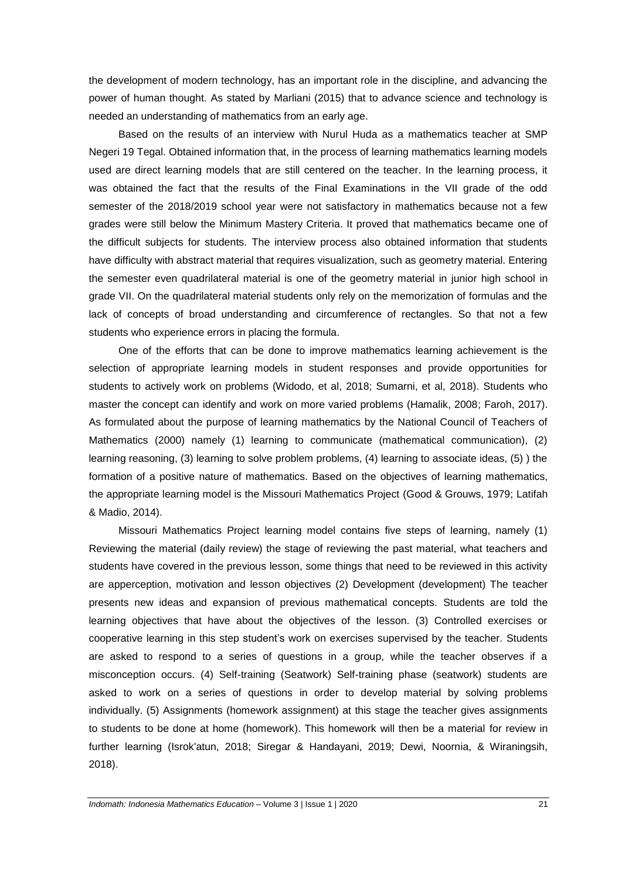the development of modern technology, has an important role in the discipline, and advancing the power of human thought. As stated by Marliani (2015) that to advance science and technology is needed an understanding of mathematics from an early age.

Based on the results of an interview with Nurul Huda as a mathematics teacher at SMP Negeri 19 Tegal. Obtained information that, in the process of learning mathematics learning models used are direct learning models that are still centered on the teacher. In the learning process, it was obtained the fact that the results of the Final Examinations in the VII grade of the odd semester of the 2018/2019 school year were not satisfactory in mathematics because not a few grades were still below the Minimum Mastery Criteria. It proved that mathematics became one of the difficult subjects for students. The interview process also obtained information that students have difficulty with abstract material that requires visualization, such as geometry material. Entering the semester even quadrilateral material is one of the geometry material in junior high school in grade VII. On the quadrilateral material students only rely on the memorization of formulas and the lack of concepts of broad understanding and circumference of rectangles. So that not a few students who experience errors in placing the formula.

One of the efforts that can be done to improve mathematics learning achievement is the selection of appropriate learning models in student responses and provide opportunities for students to actively work on problems (Widodo, et al, 2018; Sumarni, et al, 2018). Students who master the concept can identify and work on more varied problems (Hamalik, 2008; Faroh, 2017). As formulated about the purpose of learning mathematics by the National Council of Teachers of Mathematics (2000) namely (1) learning to communicate (mathematical communication), (2) learning reasoning, (3) learning to solve problem problems, (4) learning to associate ideas, (5) ) the formation of a positive nature of mathematics. Based on the objectives of learning mathematics, the appropriate learning model is the Missouri Mathematics Project (Good & Grouws, 1979; Latifah & Madio, 2014).

Missouri Mathematics Project learning model contains five steps of learning, namely (1) Reviewing the material (daily review) the stage of reviewing the past material, what teachers and students have covered in the previous lesson, some things that need to be reviewed in this activity are apperception, motivation and lesson objectives (2) Development (development) The teacher presents new ideas and expansion of previous mathematical concepts. Students are told the learning objectives that have about the objectives of the lesson. (3) Controlled exercises or cooperative learning in this step student's work on exercises supervised by the teacher. Students are asked to respond to a series of questions in a group, while the teacher observes if a misconception occurs. (4) Self-training (Seatwork) Self-training phase (seatwork) students are asked to work on a series of questions in order to develop material by solving problems individually. (5) Assignments (homework assignment) at this stage the teacher gives assignments to students to be done at home (homework). This homework will then be a material for review in further learning (Isrok'atun, 2018; Siregar & Handayani, 2019; Dewi, Noornia, & Wiraningsih, 2018).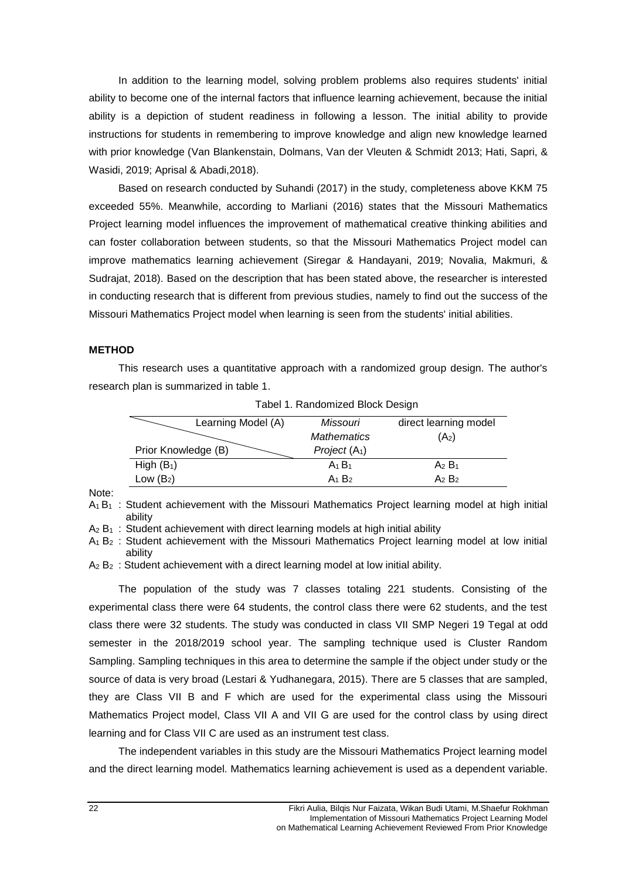In addition to the learning model, solving problem problems also requires students' initial ability to become one of the internal factors that influence learning achievement, because the initial ability is a depiction of student readiness in following a lesson. The initial ability to provide instructions for students in remembering to improve knowledge and align new knowledge learned with prior knowledge (Van Blankenstain, Dolmans, Van der Vleuten & Schmidt 2013; Hati, Sapri, & Wasidi, 2019; Aprisal & Abadi,2018).

Based on research conducted by Suhandi (2017) in the study, completeness above KKM 75 exceeded 55%. Meanwhile, according to Marliani (2016) states that the Missouri Mathematics Project learning model influences the improvement of mathematical creative thinking abilities and can foster collaboration between students, so that the Missouri Mathematics Project model can improve mathematics learning achievement (Siregar & Handayani, 2019; Novalia, Makmuri, & Sudrajat, 2018). Based on the description that has been stated above, the researcher is interested in conducting research that is different from previous studies, namely to find out the success of the Missouri Mathematics Project model when learning is seen from the students' initial abilities.

# **METHOD**

This research uses a quantitative approach with a randomized group design. The author's research plan is summarized in table 1.

| Learning Model (A)  | Missouri           | direct learning model |
|---------------------|--------------------|-----------------------|
|                     | <b>Mathematics</b> | $(A_2)$               |
| Prior Knowledge (B) | Project $(A_1)$    |                       |
| High $(B_1)$        | $A_1B_1$           | $A_2 B_1$             |
| Low $(B_2)$         | $A_1 B_2$          | $A_2 B_2$             |

Tabel 1. Randomized Block Design

Note:

 $A_1 B_1$  : Student achievement with the Missouri Mathematics Project learning model at high initial ability

 $A_2 B_1$  : Student achievement with direct learning models at high initial ability

 $A_1 B_2$ : Student achievement with the Missouri Mathematics Project learning model at low initial ability

 $A_2 B_2$ : Student achievement with a direct learning model at low initial ability.

The population of the study was 7 classes totaling 221 students. Consisting of the experimental class there were 64 students, the control class there were 62 students, and the test class there were 32 students. The study was conducted in class VII SMP Negeri 19 Tegal at odd semester in the 2018/2019 school year. The sampling technique used is Cluster Random Sampling. Sampling techniques in this area to determine the sample if the object under study or the source of data is very broad (Lestari & Yudhanegara, 2015). There are 5 classes that are sampled, they are Class VII B and F which are used for the experimental class using the Missouri Mathematics Project model, Class VII A and VII G are used for the control class by using direct learning and for Class VII C are used as an instrument test class.

The independent variables in this study are the Missouri Mathematics Project learning model and the direct learning model. Mathematics learning achievement is used as a dependent variable.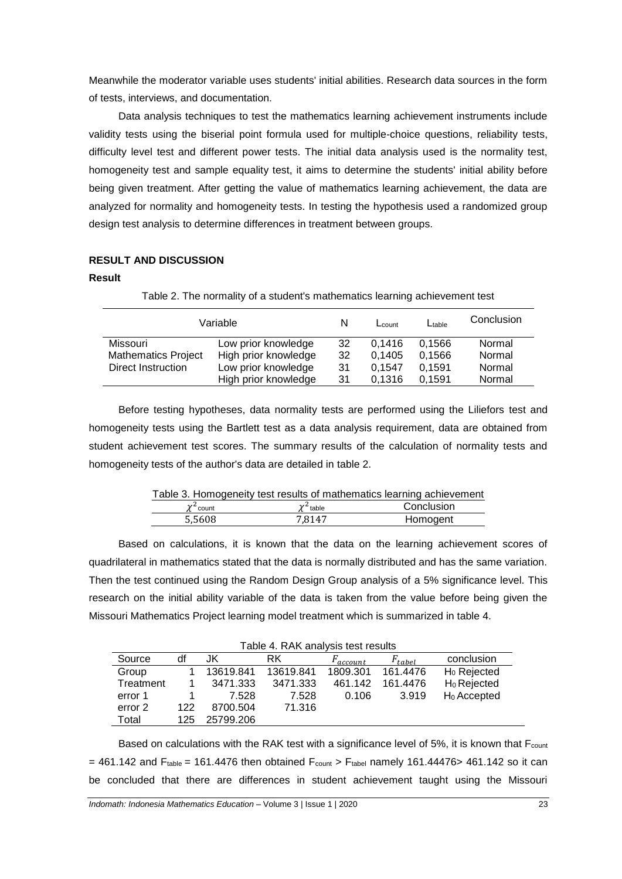Meanwhile the moderator variable uses students' initial abilities. Research data sources in the form of tests, interviews, and documentation.

Data analysis techniques to test the mathematics learning achievement instruments include validity tests using the biserial point formula used for multiple-choice questions, reliability tests, difficulty level test and different power tests. The initial data analysis used is the normality test, homogeneity test and sample equality test, it aims to determine the students' initial ability before being given treatment. After getting the value of mathematics learning achievement, the data are analyzed for normality and homogeneity tests. In testing the hypothesis used a randomized group design test analysis to determine differences in treatment between groups.

# **RESULT AND DISCUSSION**

#### **Result**

| Variable                   |                      | N  | $L_{\text{count}}$ | $L$ table | Conclusion |
|----------------------------|----------------------|----|--------------------|-----------|------------|
| Missouri                   | Low prior knowledge  | 32 | 0.1416             | 0.1566    | Normal     |
| <b>Mathematics Project</b> | High prior knowledge | 32 | 0.1405             | 0.1566    | Normal     |
| Direct Instruction         | Low prior knowledge  | 31 | 0.1547             | 0.1591    | Normal     |
|                            | High prior knowledge | 31 | 0.1316             | 0.1591    | Normal     |

Table 2. The normality of a student's mathematics learning achievement test

Before testing hypotheses, data normality tests are performed using the Liliefors test and homogeneity tests using the Bartlett test as a data analysis requirement, data are obtained from student achievement test scores. The summary results of the calculation of normality tests and homogeneity tests of the author's data are detailed in table 2.

| Table 3. Homogeneity test results of mathematics learning achievement |                |            |  |  |
|-----------------------------------------------------------------------|----------------|------------|--|--|
| $\chi^2$ count                                                        | $\chi^2$ table | Conclusion |  |  |
| 5.5608                                                                | 7.8147         | Homogent   |  |  |

Based on calculations, it is known that the data on the learning achievement scores of quadrilateral in mathematics stated that the data is normally distributed and has the same variation. Then the test continued using the Random Design Group analysis of a 5% significance level. This research on the initial ability variable of the data is taken from the value before being given the Missouri Mathematics Project learning model treatment which is summarized in table 4.

| Table 4. RAK analysis test results |     |           |           |                      |             |                         |
|------------------------------------|-----|-----------|-----------|----------------------|-------------|-------------------------|
| Source                             | df  | JK        | RK        | F <sub>account</sub> | $F_{table}$ | conclusion              |
| Group                              |     | 13619.841 | 13619.841 | 1809.301             | 161.4476    | H <sub>0</sub> Rejected |
| Treatment                          |     | 3471.333  | 3471.333  | 461.142              | 161.4476    | H <sub>0</sub> Rejected |
| error 1                            |     | 7.528     | 7.528     | 0.106                | 3.919       | H <sub>0</sub> Accepted |
| error 2                            | 122 | 8700.504  | 71.316    |                      |             |                         |
| Total                              | 125 | 25799.206 |           |                      |             |                         |

Based on calculations with the RAK test with a significance level of 5%, it is known that  $F_{\text{count}}$  $= 461.142$  and F<sub>table</sub> = 161.4476 then obtained F<sub>count</sub> > F<sub>tabel</sub> namely 161.44476> 461.142 so it can be concluded that there are differences in student achievement taught using the Missouri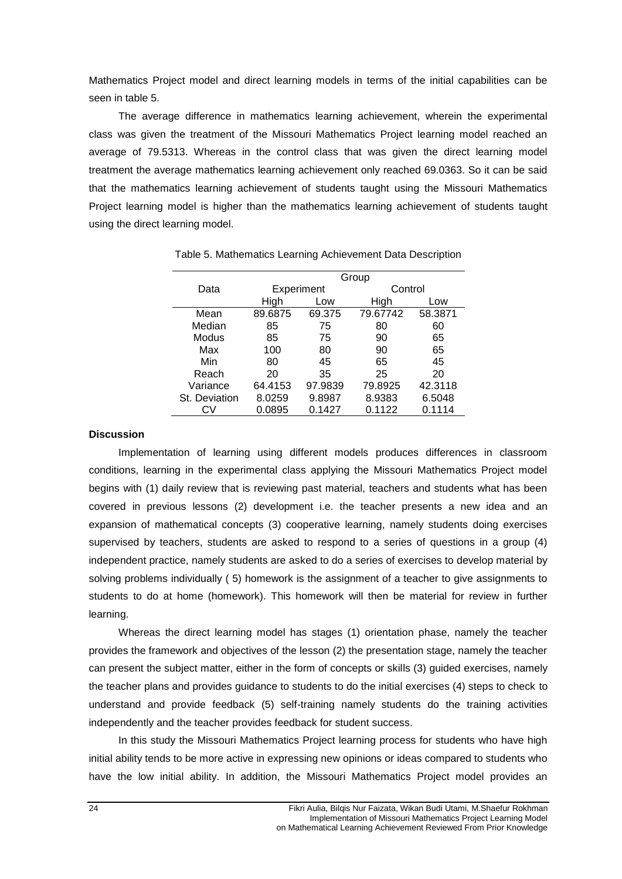Mathematics Project model and direct learning models in terms of the initial capabilities can be seen in table 5.

The average difference in mathematics learning achievement, wherein the experimental class was given the treatment of the Missouri Mathematics Project learning model reached an average of 79.5313. Whereas in the control class that was given the direct learning model treatment the average mathematics learning achievement only reached 69.0363. So it can be said that the mathematics learning achievement of students taught using the Missouri Mathematics Project learning model is higher than the mathematics learning achievement of students taught using the direct learning model.

|               | Group   |             |          |         |  |
|---------------|---------|-------------|----------|---------|--|
| Data          |         | Experiment  |          | Control |  |
|               | High    | High<br>Low |          | Low     |  |
| Mean          | 89.6875 | 69.375      | 79.67742 | 58.3871 |  |
| Median        | 85      | 75          | 80       | 60      |  |
| Modus         | 85      | 75          | 90       | 65      |  |
| Max           | 100     | 80          | 90       | 65      |  |
| Min           | 80      | 45          | 65       | 45      |  |
| Reach         | 20      | 35          | 25       | 20      |  |
| Variance      | 64.4153 | 97.9839     | 79.8925  | 42.3118 |  |
| St. Deviation | 8.0259  | 9.8987      | 8.9383   | 6.5048  |  |
|               | 0.0895  | 0.1427      | 0.1122   | 0.1114  |  |

Table 5. Mathematics Learning Achievement Data Description

### **Discussion**

Implementation of learning using different models produces differences in classroom conditions, learning in the experimental class applying the Missouri Mathematics Project model begins with (1) daily review that is reviewing past material, teachers and students what has been covered in previous lessons (2) development i.e. the teacher presents a new idea and an expansion of mathematical concepts (3) cooperative learning, namely students doing exercises supervised by teachers, students are asked to respond to a series of questions in a group (4) independent practice, namely students are asked to do a series of exercises to develop material by solving problems individually ( 5) homework is the assignment of a teacher to give assignments to students to do at home (homework). This homework will then be material for review in further learning.

Whereas the direct learning model has stages (1) orientation phase, namely the teacher provides the framework and objectives of the lesson (2) the presentation stage, namely the teacher can present the subject matter, either in the form of concepts or skills (3) guided exercises, namely the teacher plans and provides guidance to students to do the initial exercises (4) steps to check to understand and provide feedback (5) self-training namely students do the training activities independently and the teacher provides feedback for student success.

In this study the Missouri Mathematics Project learning process for students who have high initial ability tends to be more active in expressing new opinions or ideas compared to students who have the low initial ability. In addition, the Missouri Mathematics Project model provides an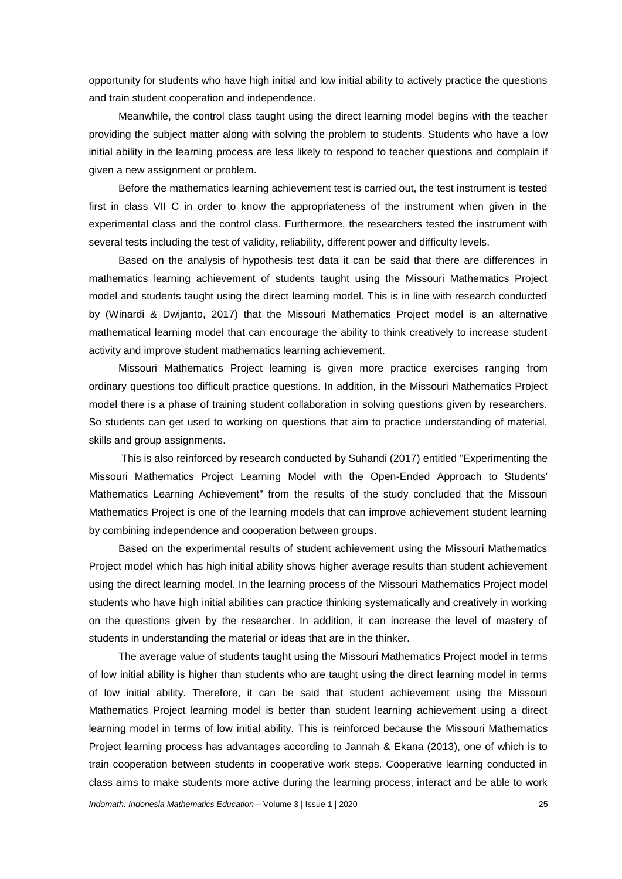opportunity for students who have high initial and low initial ability to actively practice the questions and train student cooperation and independence.

Meanwhile, the control class taught using the direct learning model begins with the teacher providing the subject matter along with solving the problem to students. Students who have a low initial ability in the learning process are less likely to respond to teacher questions and complain if given a new assignment or problem.

Before the mathematics learning achievement test is carried out, the test instrument is tested first in class VII C in order to know the appropriateness of the instrument when given in the experimental class and the control class. Furthermore, the researchers tested the instrument with several tests including the test of validity, reliability, different power and difficulty levels.

Based on the analysis of hypothesis test data it can be said that there are differences in mathematics learning achievement of students taught using the Missouri Mathematics Project model and students taught using the direct learning model. This is in line with research conducted by (Winardi & Dwijanto, 2017) that the Missouri Mathematics Project model is an alternative mathematical learning model that can encourage the ability to think creatively to increase student activity and improve student mathematics learning achievement.

Missouri Mathematics Project learning is given more practice exercises ranging from ordinary questions too difficult practice questions. In addition, in the Missouri Mathematics Project model there is a phase of training student collaboration in solving questions given by researchers. So students can get used to working on questions that aim to practice understanding of material, skills and group assignments.

This is also reinforced by research conducted by Suhandi (2017) entitled "Experimenting the Missouri Mathematics Project Learning Model with the Open-Ended Approach to Students' Mathematics Learning Achievement" from the results of the study concluded that the Missouri Mathematics Project is one of the learning models that can improve achievement student learning by combining independence and cooperation between groups.

Based on the experimental results of student achievement using the Missouri Mathematics Project model which has high initial ability shows higher average results than student achievement using the direct learning model. In the learning process of the Missouri Mathematics Project model students who have high initial abilities can practice thinking systematically and creatively in working on the questions given by the researcher. In addition, it can increase the level of mastery of students in understanding the material or ideas that are in the thinker.

The average value of students taught using the Missouri Mathematics Project model in terms of low initial ability is higher than students who are taught using the direct learning model in terms of low initial ability. Therefore, it can be said that student achievement using the Missouri Mathematics Project learning model is better than student learning achievement using a direct learning model in terms of low initial ability. This is reinforced because the Missouri Mathematics Project learning process has advantages according to Jannah & Ekana (2013), one of which is to train cooperation between students in cooperative work steps. Cooperative learning conducted in class aims to make students more active during the learning process, interact and be able to work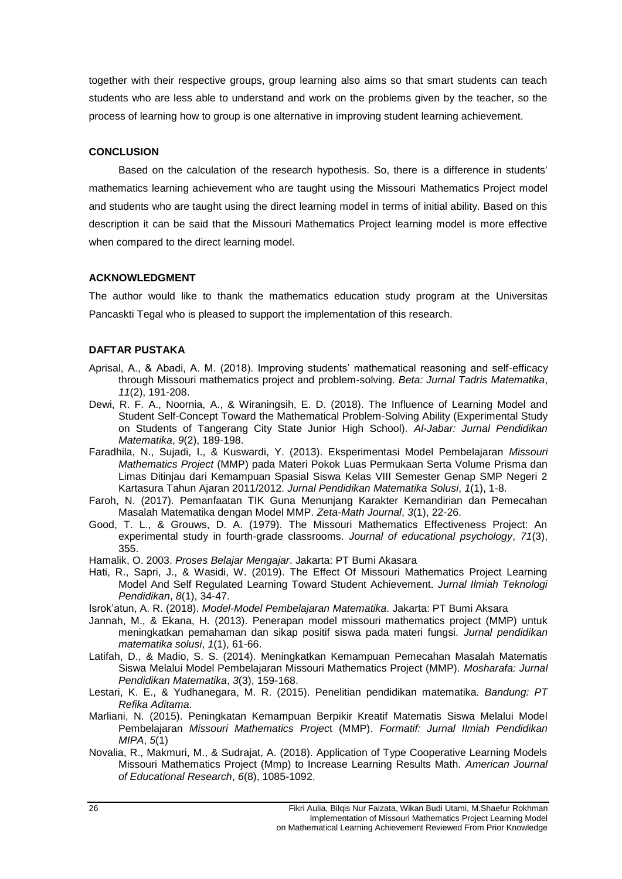together with their respective groups, group learning also aims so that smart students can teach students who are less able to understand and work on the problems given by the teacher, so the process of learning how to group is one alternative in improving student learning achievement.

# **CONCLUSION**

Based on the calculation of the research hypothesis. So, there is a difference in students' mathematics learning achievement who are taught using the Missouri Mathematics Project model and students who are taught using the direct learning model in terms of initial ability. Based on this description it can be said that the Missouri Mathematics Project learning model is more effective when compared to the direct learning model.

## **ACKNOWLEDGMENT**

The author would like to thank the mathematics education study program at the Universitas Pancaskti Tegal who is pleased to support the implementation of this research.

# **DAFTAR PUSTAKA**

- Aprisal, A., & Abadi, A. M. (2018). Improving students' mathematical reasoning and self-efficacy through Missouri mathematics project and problem-solving. *Beta: Jurnal Tadris Matematika*, *11*(2), 191-208.
- Dewi, R. F. A., Noornia, A., & Wiraningsih, E. D. (2018). The Influence of Learning Model and Student Self-Concept Toward the Mathematical Problem-Solving Ability (Experimental Study on Students of Tangerang City State Junior High School). *Al-Jabar: Jurnal Pendidikan Matematika*, *9*(2), 189-198.
- Faradhila, N., Sujadi, I., & Kuswardi, Y. (2013). Eksperimentasi Model Pembelajaran *Missouri Mathematics Project* (MMP) pada Materi Pokok Luas Permukaan Serta Volume Prisma dan Limas Ditinjau dari Kemampuan Spasial Siswa Kelas VIII Semester Genap SMP Negeri 2 Kartasura Tahun Ajaran 2011/2012. *Jurnal Pendidikan Matematika Solusi*, *1*(1), 1-8.
- Faroh, N. (2017). Pemanfaatan TIK Guna Menunjang Karakter Kemandirian dan Pemecahan Masalah Matematika dengan Model MMP. *Zeta-Math Journal*, *3*(1), 22-26.
- Good, T. L., & Grouws, D. A. (1979). The Missouri Mathematics Effectiveness Project: An experimental study in fourth-grade classrooms. *Journal of educational psychology*, *71*(3), 355.
- Hamalik, O. 2003. *Proses Belajar Mengajar*. Jakarta: PT Bumi Akasara
- Hati, R., Sapri, J., & Wasidi, W. (2019). The Effect Of Missouri Mathematics Project Learning Model And Self Regulated Learning Toward Student Achievement. *Jurnal Ilmiah Teknologi Pendidikan*, *8*(1), 34-47.

Isrok'atun, A. R. (2018). *Model-Model Pembelajaran Matematika*. Jakarta: PT Bumi Aksara

- Jannah, M., & Ekana, H. (2013). Penerapan model missouri mathematics project (MMP) untuk meningkatkan pemahaman dan sikap positif siswa pada materi fungsi. *Jurnal pendidikan matematika solusi*, *1*(1), 61-66.
- Latifah, D., & Madio, S. S. (2014). Meningkatkan Kemampuan Pemecahan Masalah Matematis Siswa Melalui Model Pembelajaran Missouri Mathematics Project (MMP). *Mosharafa: Jurnal Pendidikan Matematika*, *3*(3), 159-168.
- Lestari, K. E., & Yudhanegara, M. R. (2015). Penelitian pendidikan matematika. *Bandung: PT Refika Aditama*.
- Marliani, N. (2015). Peningkatan Kemampuan Berpikir Kreatif Matematis Siswa Melalui Model Pembelajaran *Missouri Mathematics Projec*t (MMP). *Formatif: Jurnal Ilmiah Pendidikan MIPA*, *5*(1)
- Novalia, R., Makmuri, M., & Sudrajat, A. (2018). Application of Type Cooperative Learning Models Missouri Mathematics Project (Mmp) to Increase Learning Results Math. *American Journal of Educational Research*, *6*(8), 1085-1092.